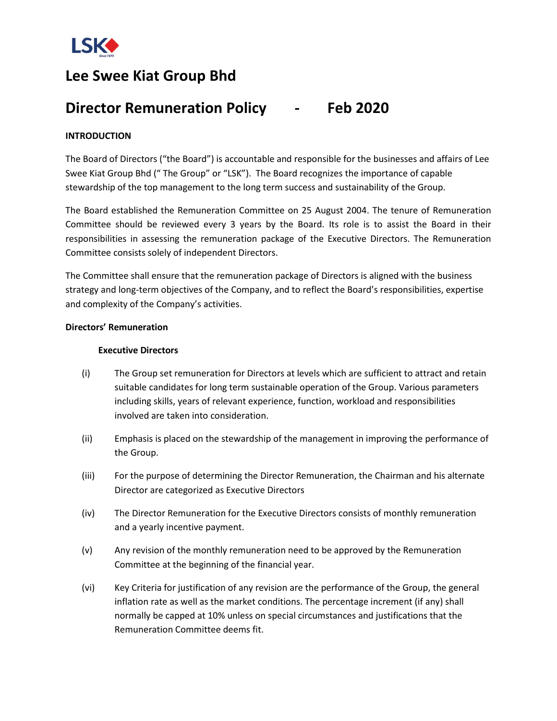

# **Lee Swee Kiat Group Bhd**

## **Director Remuneration Policy - Feb 2020**

## **INTRODUCTION**

The Board of Directors ("the Board") is accountable and responsible for the businesses and affairs of Lee Swee Kiat Group Bhd (" The Group" or "LSK"). The Board recognizes the importance of capable stewardship of the top management to the long term success and sustainability of the Group.

The Board established the Remuneration Committee on 25 August 2004. The tenure of Remuneration Committee should be reviewed every 3 years by the Board. Its role is to assist the Board in their responsibilities in assessing the remuneration package of the Executive Directors. The Remuneration Committee consists solely of independent Directors.

The Committee shall ensure that the remuneration package of Directors is aligned with the business strategy and long-term objectives of the Company, and to reflect the Board's responsibilities, expertise and complexity of the Company's activities.

### **Directors' Remuneration**

## **Executive Directors**

- (i) The Group set remuneration for Directors at levels which are sufficient to attract and retain suitable candidates for long term sustainable operation of the Group. Various parameters including skills, years of relevant experience, function, workload and responsibilities involved are taken into consideration.
- (ii) Emphasis is placed on the stewardship of the management in improving the performance of the Group.
- (iii) For the purpose of determining the Director Remuneration, the Chairman and his alternate Director are categorized as Executive Directors
- (iv) The Director Remuneration for the Executive Directors consists of monthly remuneration and a yearly incentive payment.
- (v) Any revision of the monthly remuneration need to be approved by the Remuneration Committee at the beginning of the financial year.
- (vi) Key Criteria for justification of any revision are the performance of the Group, the general inflation rate as well as the market conditions. The percentage increment (if any) shall normally be capped at 10% unless on special circumstances and justifications that the Remuneration Committee deems fit.